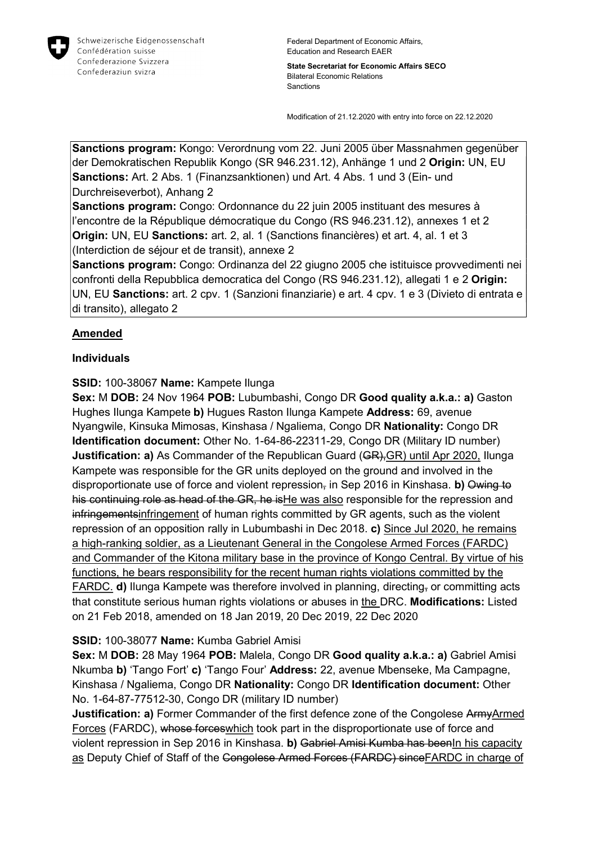

State Secretariat for Economic Affairs SECO Bilateral Economic Relations Sanctions

Modification of 21.12.2020 with entry into force on 22.12.2020

Sanctions program: Kongo: Verordnung vom 22. Juni 2005 über Massnahmen gegenüber der Demokratischen Republik Kongo (SR 946.231.12), Anhänge 1 und 2 Origin: UN, EU Sanctions: Art. 2 Abs. 1 (Finanzsanktionen) und Art. 4 Abs. 1 und 3 (Ein- und Durchreiseverbot), Anhang 2

Sanctions program: Congo: Ordonnance du 22 juin 2005 instituant des mesures à l'encontre de la République démocratique du Congo (RS 946.231.12), annexes 1 et 2 Origin: UN, EU Sanctions: art. 2, al. 1 (Sanctions financières) et art. 4, al. 1 et 3 (Interdiction de séjour et de transit), annexe 2

Sanctions program: Congo: Ordinanza del 22 giugno 2005 che istituisce provvedimenti nei confronti della Repubblica democratica del Congo (RS 946.231.12), allegati 1 e 2 Origin: UN, EU Sanctions: art. 2 cpv. 1 (Sanzioni finanziarie) e art. 4 cpv. 1 e 3 (Divieto di entrata e di transito), allegato 2

# Amended

## Individuals

## SSID: 100-38067 Name: Kampete Ilunga

Sex: M DOB: 24 Nov 1964 POB: Lubumbashi, Congo DR Good quality a.k.a.: a) Gaston Hughes Ilunga Kampete b) Hugues Raston Ilunga Kampete Address: 69, avenue Nyangwile, Kinsuka Mimosas, Kinshasa / Ngaliema, Congo DR Nationality: Congo DR Identification document: Other No. 1-64-86-22311-29, Congo DR (Military ID number) **Justification: a)** As Commander of the Republican Guard (GR), GR) until Apr 2020, Ilunga Kampete was responsible for the GR units deployed on the ground and involved in the disproportionate use of force and violent repression, in Sep 2016 in Kinshasa. b) Owing to his continuing role as head of the GR, he is He was also responsible for the repression and infringementsinfringement of human rights committed by GR agents, such as the violent repression of an opposition rally in Lubumbashi in Dec 2018. c) Since Jul 2020, he remains a high-ranking soldier, as a Lieutenant General in the Congolese Armed Forces (FARDC) and Commander of the Kitona military base in the province of Kongo Central. By virtue of his functions, he bears responsibility for the recent human rights violations committed by the FARDC. d) Ilunga Kampete was therefore involved in planning, directing, or committing acts that constitute serious human rights violations or abuses in the DRC. Modifications: Listed on 21 Feb 2018, amended on 18 Jan 2019, 20 Dec 2019, 22 Dec 2020

#### SSID: 100-38077 Name: Kumba Gabriel Amisi

Sex: M DOB: 28 May 1964 POB: Malela, Congo DR Good quality a.k.a.: a) Gabriel Amisi Nkumba b) 'Tango Fort' c) 'Tango Four' Address: 22, avenue Mbenseke, Ma Campagne, Kinshasa / Ngaliema, Congo DR Nationality: Congo DR Identification document: Other No. 1-64-87-77512-30, Congo DR (military ID number)

**Justification: a)** Former Commander of the first defence zone of the Congolese ArmyArmed Forces (FARDC), whose forceswhich took part in the disproportionate use of force and violent repression in Sep 2016 in Kinshasa. b) Gabriel Amisi Kumba has beenIn his capacity as Deputy Chief of Staff of the Congolese Armed Forces (FARDC) sinceFARDC in charge of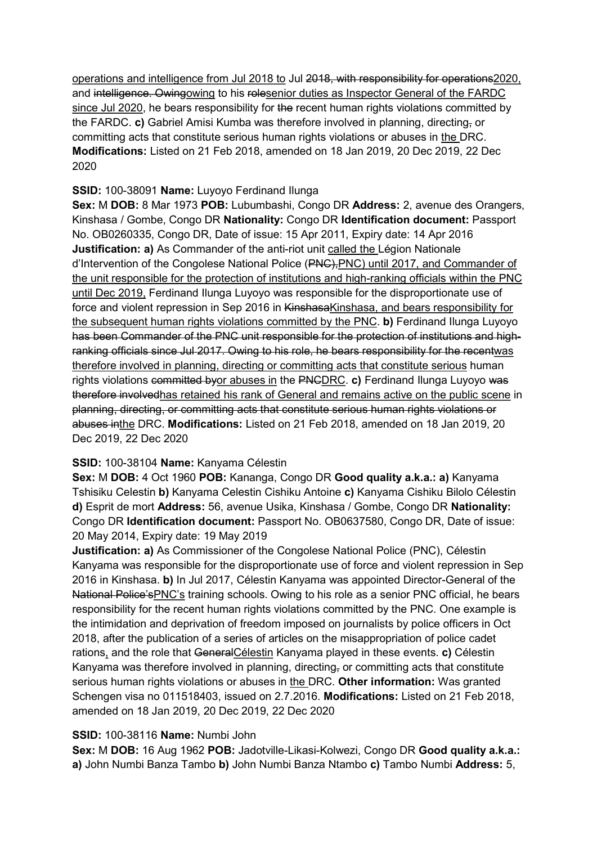operations and intelligence from Jul 2018 to Jul 2018, with responsibility for operations2020, and intelligence. Owingowing to his rolesenior duties as Inspector General of the FARDC since Jul 2020, he bears responsibility for the recent human rights violations committed by the FARDC. c) Gabriel Amisi Kumba was therefore involved in planning, directing, or committing acts that constitute serious human rights violations or abuses in the DRC. Modifications: Listed on 21 Feb 2018, amended on 18 Jan 2019, 20 Dec 2019, 22 Dec 2020

### SSID: 100-38091 Name: Luyoyo Ferdinand Ilunga

Sex: M DOB: 8 Mar 1973 POB: Lubumbashi, Congo DR Address: 2, avenue des Orangers, Kinshasa / Gombe, Congo DR Nationality: Congo DR Identification document: Passport No. OB0260335, Congo DR, Date of issue: 15 Apr 2011, Expiry date: 14 Apr 2016 **Justification: a)** As Commander of the anti-riot unit called the Légion Nationale d'Intervention of the Congolese National Police (PNC),PNC) until 2017, and Commander of the unit responsible for the protection of institutions and high-ranking officials within the PNC until Dec 2019, Ferdinand Ilunga Luyoyo was responsible for the disproportionate use of force and violent repression in Sep 2016 in KinshasaKinshasa, and bears responsibility for the subsequent human rights violations committed by the PNC. b) Ferdinand Ilunga Luyoyo has been Commander of the PNC unit responsible for the protection of institutions and highranking officials since Jul 2017. Owing to his role, he bears responsibility for the recentwas therefore involved in planning, directing or committing acts that constitute serious human rights violations committed byor abuses in the PNGDRC. c) Ferdinand Ilunga Luyoyo was therefore involvedhas retained his rank of General and remains active on the public scene in planning, directing, or committing acts that constitute serious human rights violations or abuses inthe DRC. Modifications: Listed on 21 Feb 2018, amended on 18 Jan 2019, 20 Dec 2019, 22 Dec 2020

# SSID: 100-38104 Name: Kanyama Célestin

Sex: M DOB: 4 Oct 1960 POB: Kananga, Congo DR Good quality a.k.a.: a) Kanyama Tshisiku Celestin b) Kanyama Celestin Cishiku Antoine c) Kanyama Cishiku Bilolo Célestin d) Esprit de mort Address: 56, avenue Usika, Kinshasa / Gombe, Congo DR Nationality: Congo DR Identification document: Passport No. OB0637580, Congo DR, Date of issue: 20 May 2014, Expiry date: 19 May 2019

Justification: a) As Commissioner of the Congolese National Police (PNC), Célestin Kanyama was responsible for the disproportionate use of force and violent repression in Sep 2016 in Kinshasa. b) In Jul 2017, Célestin Kanyama was appointed Director-General of the National Police'sPNC's training schools. Owing to his role as a senior PNC official, he bears responsibility for the recent human rights violations committed by the PNC. One example is the intimidation and deprivation of freedom imposed on journalists by police officers in Oct 2018, after the publication of a series of articles on the misappropriation of police cadet rations, and the role that GeneralCélestin Kanyama played in these events. c) Célestin Kanyama was therefore involved in planning, directing, or committing acts that constitute serious human rights violations or abuses in the DRC. Other information: Was granted Schengen visa no 011518403, issued on 2.7.2016. Modifications: Listed on 21 Feb 2018, amended on 18 Jan 2019, 20 Dec 2019, 22 Dec 2020

### SSID: 100-38116 Name: Numbi John

Sex: M DOB: 16 Aug 1962 POB: Jadotville-Likasi-Kolwezi, Congo DR Good quality a.k.a.: a) John Numbi Banza Tambo b) John Numbi Banza Ntambo c) Tambo Numbi Address: 5,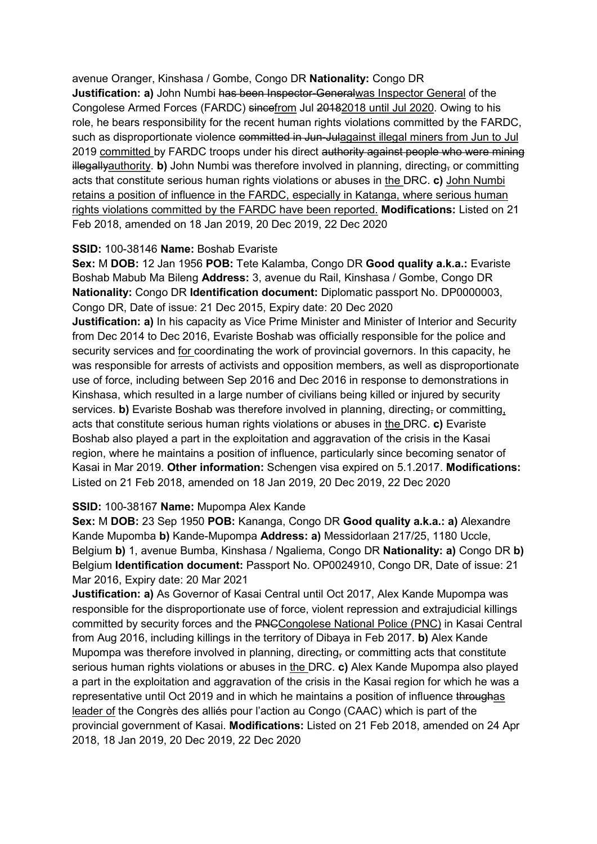avenue Oranger, Kinshasa / Gombe, Congo DR Nationality: Congo DR Justification: a) John Numbi has been Inspector-Generalwas Inspector General of the Congolese Armed Forces (FARDC) sincefrom Jul 20182018 until Jul 2020. Owing to his role, he bears responsibility for the recent human rights violations committed by the FARDC, such as disproportionate violence committed in Jun-Julagainst illegal miners from Jun to Jul 2019 committed by FARDC troops under his direct authority against people who were mining illegallyauthority. b) John Numbi was therefore involved in planning, directing, or committing acts that constitute serious human rights violations or abuses in the DRC. c) John Numbi retains a position of influence in the FARDC, especially in Katanga, where serious human rights violations committed by the FARDC have been reported. Modifications: Listed on 21 Feb 2018, amended on 18 Jan 2019, 20 Dec 2019, 22 Dec 2020

#### SSID: 100-38146 Name: Boshab Evariste

Sex: M DOB: 12 Jan 1956 POB: Tete Kalamba, Congo DR Good quality a.k.a.: Evariste Boshab Mabub Ma Bileng Address: 3, avenue du Rail, Kinshasa / Gombe, Congo DR Nationality: Congo DR Identification document: Diplomatic passport No. DP0000003, Congo DR, Date of issue: 21 Dec 2015, Expiry date: 20 Dec 2020

**Justification: a)** In his capacity as Vice Prime Minister and Minister of Interior and Security from Dec 2014 to Dec 2016, Evariste Boshab was officially responsible for the police and security services and for coordinating the work of provincial governors. In this capacity, he was responsible for arrests of activists and opposition members, as well as disproportionate use of force, including between Sep 2016 and Dec 2016 in response to demonstrations in Kinshasa, which resulted in a large number of civilians being killed or injured by security services. b) Evariste Boshab was therefore involved in planning, directing, or committing, acts that constitute serious human rights violations or abuses in the DRC. c) Evariste Boshab also played a part in the exploitation and aggravation of the crisis in the Kasai region, where he maintains a position of influence, particularly since becoming senator of Kasai in Mar 2019. Other information: Schengen visa expired on 5.1.2017. Modifications: Listed on 21 Feb 2018, amended on 18 Jan 2019, 20 Dec 2019, 22 Dec 2020

#### SSID: 100-38167 Name: Mupompa Alex Kande

Sex: M DOB: 23 Sep 1950 POB: Kananga, Congo DR Good quality a.k.a.: a) Alexandre Kande Mupomba b) Kande-Mupompa Address: a) Messidorlaan 217/25, 1180 Uccle, Belgium b) 1, avenue Bumba, Kinshasa / Ngaliema, Congo DR **Nationality: a)** Congo DR b) Belgium Identification document: Passport No. OP0024910, Congo DR, Date of issue: 21 Mar 2016, Expiry date: 20 Mar 2021

Justification: a) As Governor of Kasai Central until Oct 2017, Alex Kande Mupompa was responsible for the disproportionate use of force, violent repression and extrajudicial killings committed by security forces and the PNCCongolese National Police (PNC) in Kasai Central from Aug 2016, including killings in the territory of Dibaya in Feb 2017. b) Alex Kande Mupompa was therefore involved in planning, directing, or committing acts that constitute serious human rights violations or abuses in the DRC. c) Alex Kande Mupompa also played a part in the exploitation and aggravation of the crisis in the Kasai region for which he was a representative until Oct 2019 and in which he maintains a position of influence throughas leader of the Congrès des alliés pour l'action au Congo (CAAC) which is part of the provincial government of Kasai. Modifications: Listed on 21 Feb 2018, amended on 24 Apr 2018, 18 Jan 2019, 20 Dec 2019, 22 Dec 2020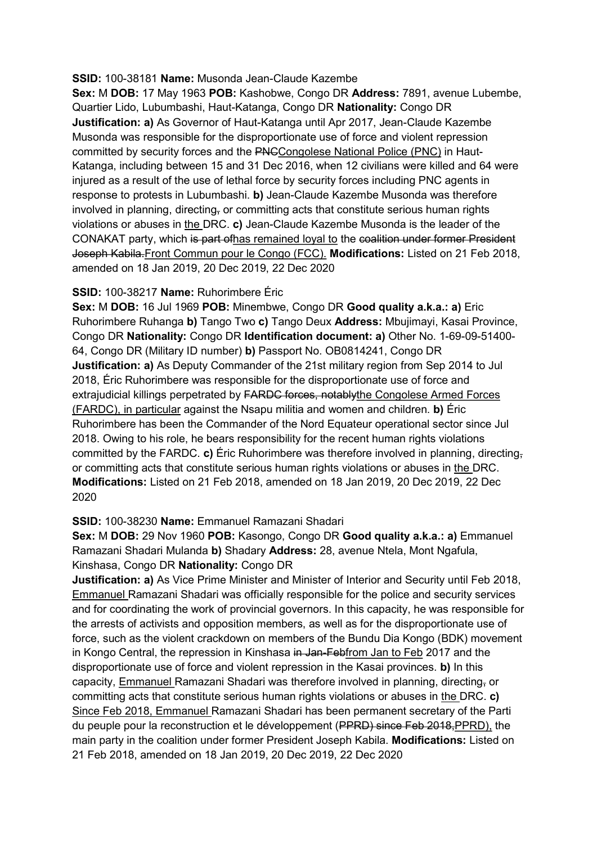#### SSID: 100-38181 Name: Musonda Jean-Claude Kazembe

Sex: M DOB: 17 May 1963 POB: Kashobwe, Congo DR Address: 7891, avenue Lubembe, Quartier Lido, Lubumbashi, Haut-Katanga, Congo DR Nationality: Congo DR Justification: a) As Governor of Haut-Katanga until Apr 2017, Jean-Claude Kazembe Musonda was responsible for the disproportionate use of force and violent repression committed by security forces and the PNCCongolese National Police (PNC) in Haut-Katanga, including between 15 and 31 Dec 2016, when 12 civilians were killed and 64 were injured as a result of the use of lethal force by security forces including PNC agents in response to protests in Lubumbashi. b) Jean-Claude Kazembe Musonda was therefore involved in planning, directing, or committing acts that constitute serious human rights violations or abuses in the DRC. c) Jean-Claude Kazembe Musonda is the leader of the CONAKAT party, which is part ofhas remained loyal to the coalition under former President Joseph Kabila.Front Commun pour le Congo (FCC). Modifications: Listed on 21 Feb 2018, amended on 18 Jan 2019, 20 Dec 2019, 22 Dec 2020

#### SSID: 100-38217 Name: Ruhorimbere Éric

Sex: M DOB: 16 Jul 1969 POB: Minembwe, Congo DR Good quality a.k.a.: a) Eric Ruhorimbere Ruhanga b) Tango Two c) Tango Deux Address: Mbujimayi, Kasai Province, Congo DR Nationality: Congo DR Identification document: a) Other No. 1-69-09-51400- 64, Congo DR (Military ID number) b) Passport No. OB0814241, Congo DR **Justification: a)** As Deputy Commander of the 21st military region from Sep 2014 to Jul 2018, Éric Ruhorimbere was responsible for the disproportionate use of force and extrajudicial killings perpetrated by FARDC forces, notablythe Congolese Armed Forces (FARDC), in particular against the Nsapu militia and women and children. b) Éric Ruhorimbere has been the Commander of the Nord Equateur operational sector since Jul 2018. Owing to his role, he bears responsibility for the recent human rights violations committed by the FARDC. c) Éric Ruhorimbere was therefore involved in planning, directing, or committing acts that constitute serious human rights violations or abuses in the DRC. Modifications: Listed on 21 Feb 2018, amended on 18 Jan 2019, 20 Dec 2019, 22 Dec 2020

## SSID: 100-38230 Name: Emmanuel Ramazani Shadari

Sex: M DOB: 29 Nov 1960 POB: Kasongo, Congo DR Good quality a.k.a.: a) Emmanuel Ramazani Shadari Mulanda b) Shadary Address: 28, avenue Ntela, Mont Ngafula, Kinshasa, Congo DR Nationality: Congo DR

**Justification: a)** As Vice Prime Minister and Minister of Interior and Security until Feb 2018. Emmanuel Ramazani Shadari was officially responsible for the police and security services and for coordinating the work of provincial governors. In this capacity, he was responsible for the arrests of activists and opposition members, as well as for the disproportionate use of force, such as the violent crackdown on members of the Bundu Dia Kongo (BDK) movement in Kongo Central, the repression in Kinshasa in Jan-Febfrom Jan to Feb 2017 and the disproportionate use of force and violent repression in the Kasai provinces. b) In this capacity, Emmanuel Ramazani Shadari was therefore involved in planning, directing, or committing acts that constitute serious human rights violations or abuses in the DRC. c) Since Feb 2018, Emmanuel Ramazani Shadari has been permanent secretary of the Parti du peuple pour la reconstruction et le développement (PPRD) since Feb 2018,PPRD), the main party in the coalition under former President Joseph Kabila. Modifications: Listed on 21 Feb 2018, amended on 18 Jan 2019, 20 Dec 2019, 22 Dec 2020